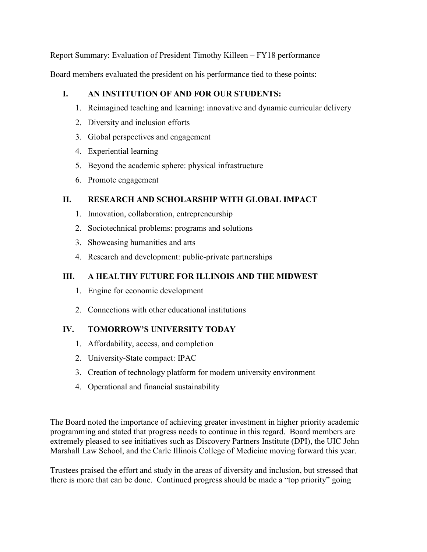Report Summary: Evaluation of President Timothy Killeen – FY18 performance

Board members evaluated the president on his performance tied to these points:

## **I. AN INSTITUTION OF AND FOR OUR STUDENTS:**

- 1. Reimagined teaching and learning: innovative and dynamic curricular delivery
- 2. Diversity and inclusion efforts
- 3. Global perspectives and engagement
- 4. Experiential learning
- 5. Beyond the academic sphere: physical infrastructure
- 6. Promote engagement

## **II. RESEARCH AND SCHOLARSHIP WITH GLOBAL IMPACT**

- 1. Innovation, collaboration, entrepreneurship
- 2. Sociotechnical problems: programs and solutions
- 3. Showcasing humanities and arts
- 4. Research and development: public-private partnerships

## **III. A HEALTHY FUTURE FOR ILLINOIS AND THE MIDWEST**

- 1. Engine for economic development
- 2. Connections with other educational institutions

## **IV. TOMORROW'S UNIVERSITY TODAY**

- 1. Affordability, access, and completion
- 2. University-State compact: IPAC
- 3. Creation of technology platform for modern university environment
- 4. Operational and financial sustainability

The Board noted the importance of achieving greater investment in higher priority academic programming and stated that progress needs to continue in this regard. Board members are extremely pleased to see initiatives such as Discovery Partners Institute (DPI), the UIC John Marshall Law School, and the Carle Illinois College of Medicine moving forward this year.

Trustees praised the effort and study in the areas of diversity and inclusion, but stressed that there is more that can be done. Continued progress should be made a "top priority" going